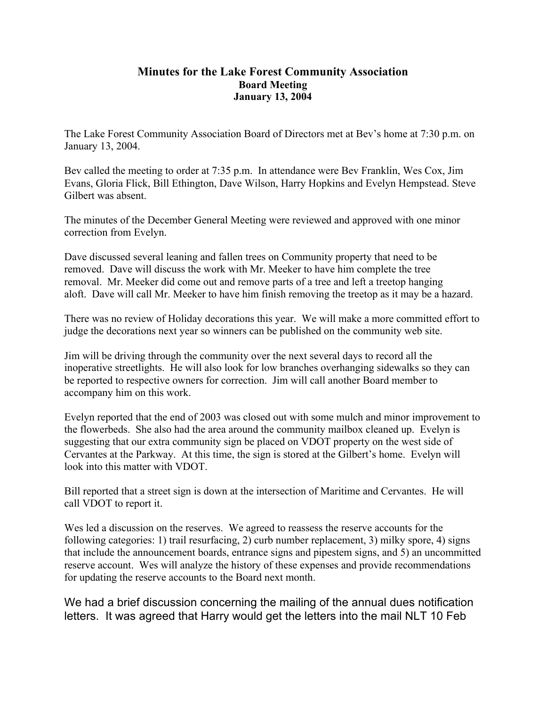## **Minutes for the Lake Forest Community Association Board Meeting January 13, 2004**

The Lake Forest Community Association Board of Directors met at Bev's home at 7:30 p.m. on January 13, 2004.

Bev called the meeting to order at 7:35 p.m. In attendance were Bev Franklin, Wes Cox, Jim Evans, Gloria Flick, Bill Ethington, Dave Wilson, Harry Hopkins and Evelyn Hempstead. Steve Gilbert was absent.

The minutes of the December General Meeting were reviewed and approved with one minor correction from Evelyn.

Dave discussed several leaning and fallen trees on Community property that need to be removed. Dave will discuss the work with Mr. Meeker to have him complete the tree removal. Mr. Meeker did come out and remove parts of a tree and left a treetop hanging aloft. Dave will call Mr. Meeker to have him finish removing the treetop as it may be a hazard.

There was no review of Holiday decorations this year. We will make a more committed effort to judge the decorations next year so winners can be published on the community web site.

Jim will be driving through the community over the next several days to record all the inoperative streetlights. He will also look for low branches overhanging sidewalks so they can be reported to respective owners for correction. Jim will call another Board member to accompany him on this work.

Evelyn reported that the end of 2003 was closed out with some mulch and minor improvement to the flowerbeds. She also had the area around the community mailbox cleaned up. Evelyn is suggesting that our extra community sign be placed on VDOT property on the west side of Cervantes at the Parkway. At this time, the sign is stored at the Gilbert's home. Evelyn will look into this matter with VDOT.

Bill reported that a street sign is down at the intersection of Maritime and Cervantes. He will call VDOT to report it.

Wes led a discussion on the reserves. We agreed to reassess the reserve accounts for the following categories: 1) trail resurfacing, 2) curb number replacement, 3) milky spore, 4) signs that include the announcement boards, entrance signs and pipestem signs, and 5) an uncommitted reserve account. Wes will analyze the history of these expenses and provide recommendations for updating the reserve accounts to the Board next month.

We had a brief discussion concerning the mailing of the annual dues notification letters. It was agreed that Harry would get the letters into the mail NLT 10 Feb